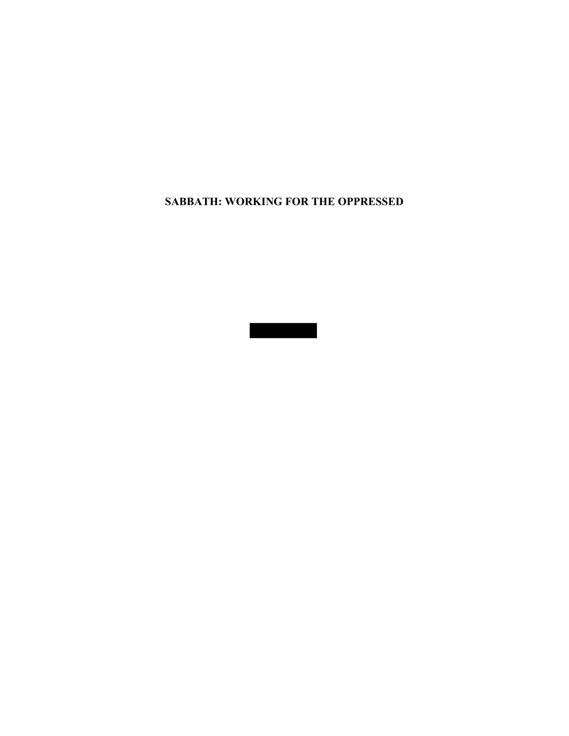**SABBATH: WORKING FOR THE OPPRESSED**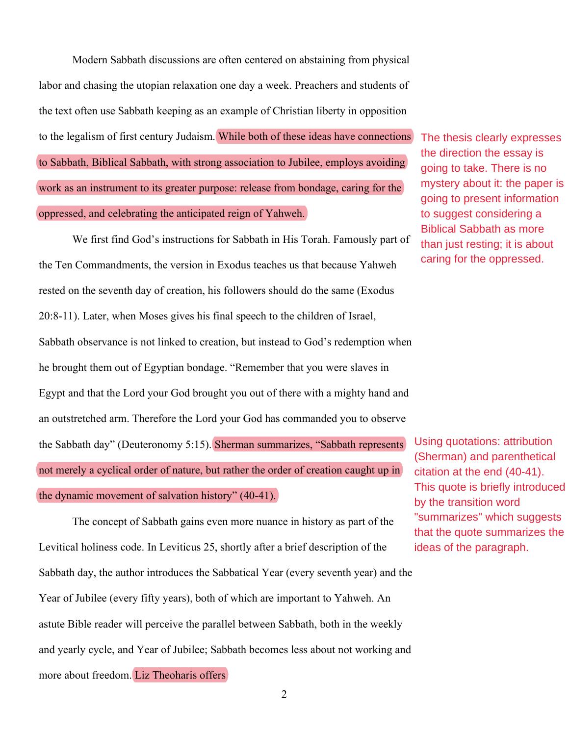Modern Sabbath discussions are often centered on abstaining from physical labor and chasing the utopian relaxation one day a week. Preachers and students of the text often use Sabbath keeping as an example of Christian liberty in opposition to the legalism of first century Judaism. While both of these ideas have connections to Sabbath, Biblical Sabbath, with strong association to Jubilee, employs avoiding work as an instrument to its greater purpose: release from bondage, caring for the oppressed, and celebrating the anticipated reign of Yahweh.

We first find God's instructions for Sabbath in His Torah. Famously part of the Ten Commandments, the version in Exodus teaches us that because Yahweh rested on the seventh day of creation, his followers should do the same (Exodus 20:8-11). Later, when Moses gives his final speech to the children of Israel, Sabbath observance is not linked to creation, but instead to God's redemption when he brought them out of Egyptian bondage. "Remember that you were slaves in Egypt and that the Lord your God brought you out of there with a mighty hand and an outstretched arm. Therefore the Lord your God has commanded you to observe the Sabbath day" (Deuteronomy 5:15). Sherman summarizes, "Sabbath represents not merely a cyclical order of nature, but rather the order of creation caught up in the dynamic movement of salvation history" (40-41).

The concept of Sabbath gains even more nuance in history as part of the Levitical holiness code. In Leviticus 25, shortly after a brief description of the Sabbath day, the author introduces the Sabbatical Year (every seventh year) and the Year of Jubilee (every fifty years), both of which are important to Yahweh. An astute Bible reader will perceive the parallel between Sabbath, both in the weekly and yearly cycle, and Year of Jubilee; Sabbath becomes less about not working and more about freedom. Liz Theoharis offers

The thesis clearly expresses the direction the essay is going to take. There is no mystery about it: the paper is going to present information to suggest considering a Biblical Sabbath as more than just resting; it is about caring for the oppressed.

Using quotations: attribution (Sherman) and parenthetical citation at the end (40-41). This quote is briefly introduced by the transition word "summarizes" which suggests that the quote summarizes the ideas of the paragraph.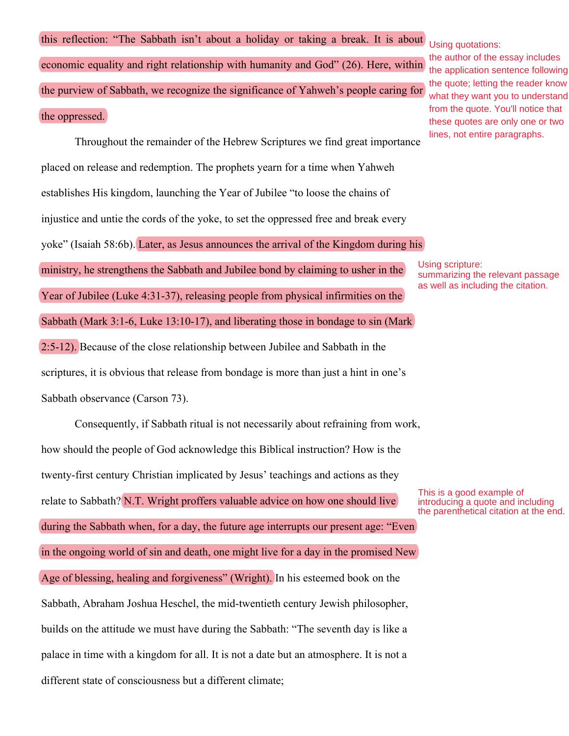this reflection: "The Sabbath isn't about a holiday or taking a break. It is about economic equality and right relationship with humanity and God" (26). Here, within the purview of Sabbath, we recognize the significance of Yahweh's people caring for the oppressed.

Throughout the remainder of the Hebrew Scriptures we find great importance placed on release and redemption. The prophets yearn for a time when Yahweh establishes His kingdom, launching the Year of Jubilee "to loose the chains of injustice and untie the cords of the yoke, to set the oppressed free and break every yoke" (Isaiah 58:6b). Later, as Jesus announces the arrival of the Kingdom during his ministry, he strengthens the Sabbath and Jubilee bond by claiming to usher in the Year of Jubilee (Luke 4:31-37), releasing people from physical infirmities on the Sabbath (Mark 3:1-6, Luke 13:10-17), and liberating those in bondage to sin (Mark) 2:5-12). Because of the close relationship between Jubilee and Sabbath in the scriptures, it is obvious that release from bondage is more than just a hint in one's Sabbath observance (Carson 73).

Consequently, if Sabbath ritual is not necessarily about refraining from work, how should the people of God acknowledge this Biblical instruction? How is the twenty-first century Christian implicated by Jesus' teachings and actions as they relate to Sabbath? N.T. Wright proffers valuable advice on how one should live during the Sabbath when, for a day, the future age interrupts our present age: "Even in the ongoing world of sin and death, one might live for a day in the promised New Age of blessing, healing and forgiveness" (Wright). In his esteemed book on the Sabbath, Abraham Joshua Heschel, the mid-twentieth century Jewish philosopher, builds on the attitude we must have during the Sabbath: "The seventh day is like a palace in time with a kingdom for all. It is not a date but an atmosphere. It is not a ministry, he strengthens the Sabbath and Jubilee bond by elaining to usher in the<br>
Year of Jubilee (Luke 4:31-37), releasing people from physical infirmities on the<br>
Sabbath (Mark 3:1-6, Luke 13:10-17), and liberating thos

Using quotations: the author of the essay includes the application sentence following the quote; letting the reader know what they want you to understand from the quote. You'll notice that these quotes are only one or two lines, not entire paragraphs.

summarizing the relevant passage as well as including the citation.

This is a good example of introducing a quote and including the parenthetical citation at the end.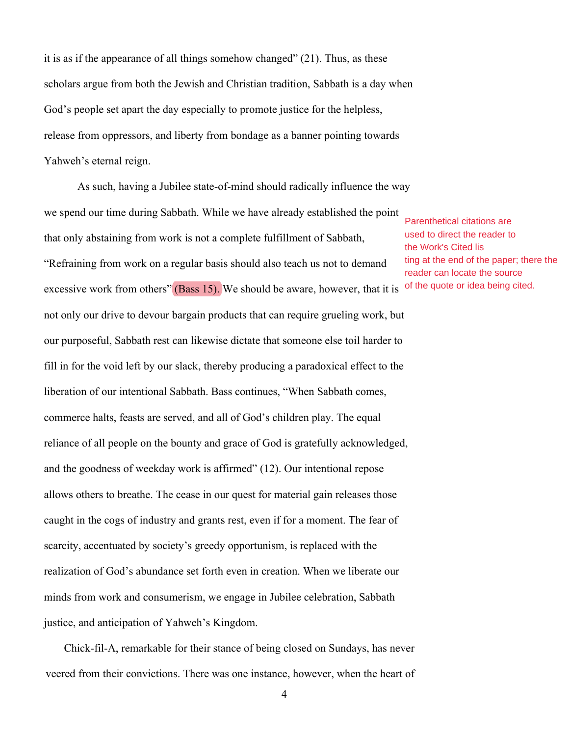it is as if the appearance of all things somehow changed" (21). Thus, as these scholars argue from both the Jewish and Christian tradition, Sabbath is a day when God's people set apart the day especially to promote justice for the helpless, release from oppressors, and liberty from bondage as a banner pointing towards Yahweh's eternal reign.

As such, having a Jubilee state-of-mind should radically influence the way we spend our time during Sabbath. While we have already established the point that only abstaining from work is not a complete fulfillment of Sabbath, "Refraining from work on a regular basis should also teach us not to demand excessive work from others" (Bass 15). We should be aware, however, that it is not only our drive to devour bargain products that can require grueling work, but our purposeful, Sabbath rest can likewise dictate that someone else toil harder to fill in for the void left by our slack, thereby producing a paradoxical effect to the liberation of our intentional Sabbath. Bass continues, "When Sabbath comes, commerce halts, feasts are served, and all of God's children play. The equal reliance of all people on the bounty and grace of God is gratefully acknowledged, and the goodness of weekday work is affirmed" (12). Our intentional repose allows others to breathe. The cease in our quest for material gain releases those caught in the cogs of industry and grants rest, even if for a moment. The fear of scarcity, accentuated by society's greedy opportunism, is replaced with the realization of God's abundance set forth even in creation. When we liberate our minds from work and consumerism, we engage in Jubilee celebration, Sabbath justice, and anticipation of Yahweh's Kingdom.

Chick-fil-A, remarkable for their stance of being closed on Sundays, has never veered from their convictions. There was one instance, however, when the heart of

Parenthetical citations are used to direct the reader to the Work's Cited lis ting at the end of the paper; there the reader can locate the source of the quote or idea being cited.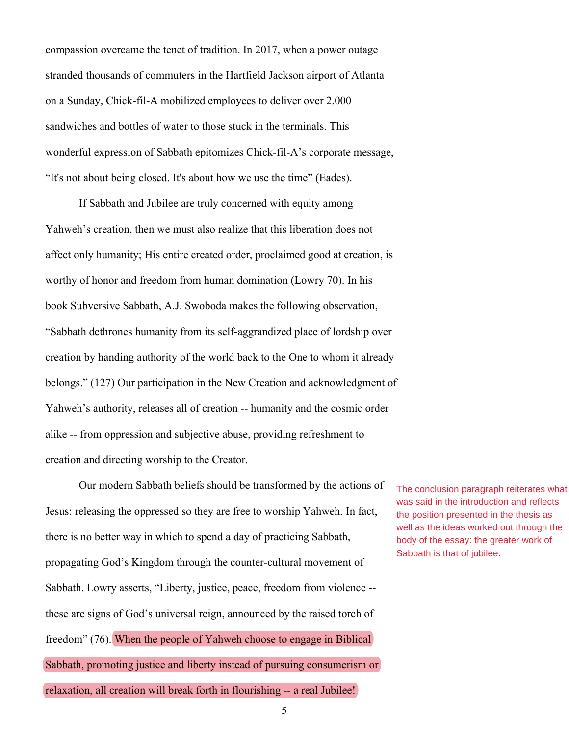compassion overcame the tenet of tradition. In 2017, when a power outage stranded thousands of commuters in the Hartfield Jackson airport of Atlanta on a Sunday, Chick-fil-A mobilized employees to deliver over 2,000 sandwiches and bottles of water to those stuck in the terminals. This wonderful expression of Sabbath epitomizes Chick-fil-A's corporate message, "It's not about being closed. It's about how we use the time" (Eades).

If Sabbath and Jubilee are truly concerned with equity among Yahweh's creation, then we must also realize that this liberation does not affect only humanity; His entire created order, proclaimed good at creation, is worthy of honor and freedom from human domination (Lowry 70). In his book Subversive Sabbath, A.J. Swoboda makes the following observation, "Sabbath dethrones humanity from its self-aggrandized place of lordship over creation by handing authority of the world back to the One to whom it already belongs." (127) Our participation in the New Creation and acknowledgment of Yahweh's authority, releases all of creation -- humanity and the cosmic order alike -- from oppression and subjective abuse, providing refreshment to creation and directing worship to the Creator.

Our modern Sabbath beliefs should be transformed by the actions of Jesus: releasing the oppressed so they are free to worship Yahweh. In fact, there is no better way in which to spend a day of practicing Sabbath, propagating God's Kingdom through the counter-cultural movement of Sabbath. Lowry asserts, "Liberty, justice, peace, freedom from violence - these are signs of God's universal reign, announced by the raised torch of freedom" (76). When the people of Yahweh choose to engage in Biblical Sabbath, promoting justice and liberty instead of pursuing consumerism or relaxation, all creation will break forth in flourishing -- a real Jubilee!

The conclusion paragraph reiterates what was said in the introduction and reflects the position presented in the thesis as well as the ideas worked out through the body of the essay: the greater work of Sabbath is that of jubilee.